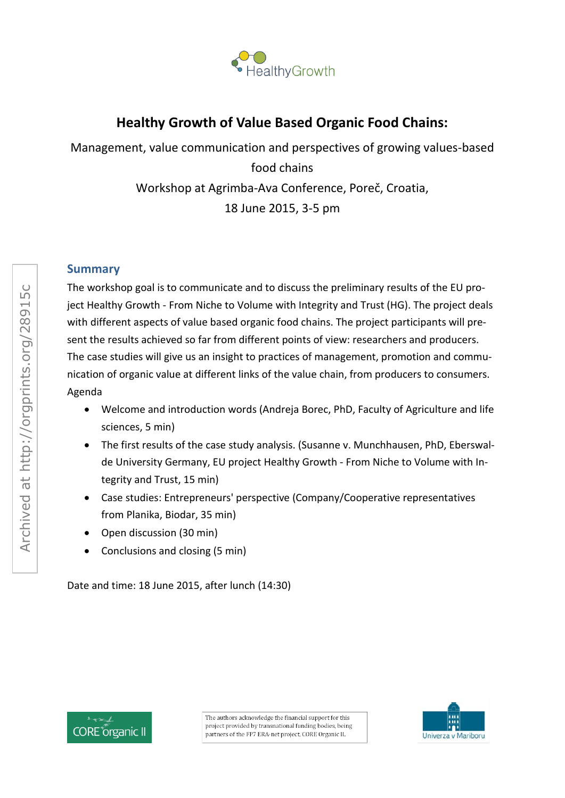

# **Healthy Growth of Value Based Organic Food Chains:**

Management, value communication and perspectives of growing values-based food chains Workshop at Agrimba-Ava Conference, Poreč, Croatia, 18 June 2015, 3-5 pm

## **Summary**

The workshop goal is to communicate and to discuss the preliminary results of the EU project Healthy Growth - From Niche to Volume with Integrity and Trust (HG). The project deals with different aspects of value based organic food chains. The project participants will present the results achieved so far from different points of view: researchers and producers. The case studies will give us an insight to practices of management, promotion and communication of organic value at different links of the value chain, from producers to consumers. Agenda

- Welcome and introduction words (Andreja Borec, PhD, Faculty of Agriculture and life sciences, 5 min)
- The first results of the case study analysis. (Susanne v. Munchhausen, PhD, Eberswalde University Germany, EU project Healthy Growth - From Niche to Volume with Integrity and Trust, 15 min)
- Case studies: Entrepreneurs' perspective (Company/Cooperative representatives from Planika, Biodar, 35 min)
- Open discussion (30 min)
- Conclusions and closing (5 min)

Date and time: 18 June 2015, after lunch (14:30)



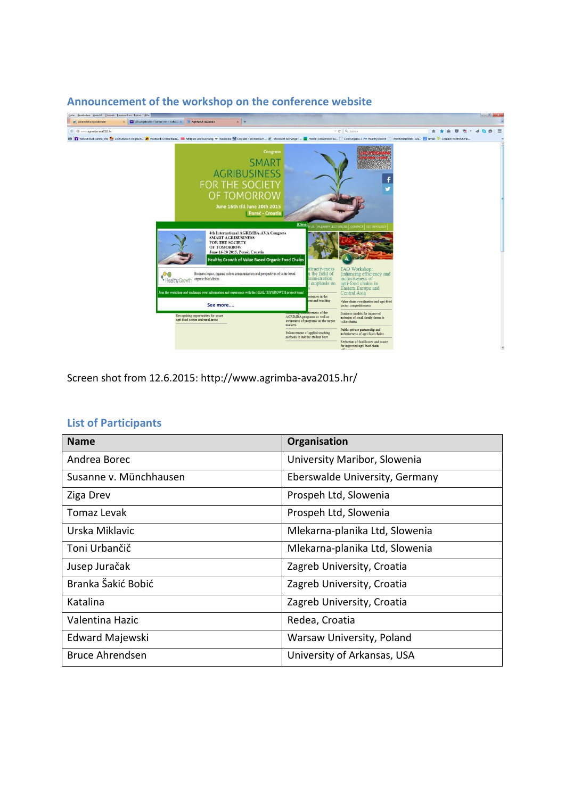

Screen shot from 12.6.2015: http://www.agrimba-ava2015.hr/

| <b>Name</b>            | Organisation                   |
|------------------------|--------------------------------|
| Andrea Borec           | University Maribor, Slowenia   |
| Susanne v. Münchhausen | Eberswalde University, Germany |
| Ziga Drev              | Prospeh Ltd, Slowenia          |
| Tomaz Levak            | Prospeh Ltd, Slowenia          |
| Urska Miklavic         | Mlekarna-planika Ltd, Slowenia |
| Toni Urbančič          | Mlekarna-planika Ltd, Slowenia |
| Jusep Juračak          | Zagreb University, Croatia     |
| Branka Šakić Bobić     | Zagreb University, Croatia     |
| Katalina               | Zagreb University, Croatia     |
| Valentina Hazic        | Redea, Croatia                 |
| Edward Majewski        | Warsaw University, Poland      |
| <b>Bruce Ahrendsen</b> | University of Arkansas, USA    |

#### **List of Participants**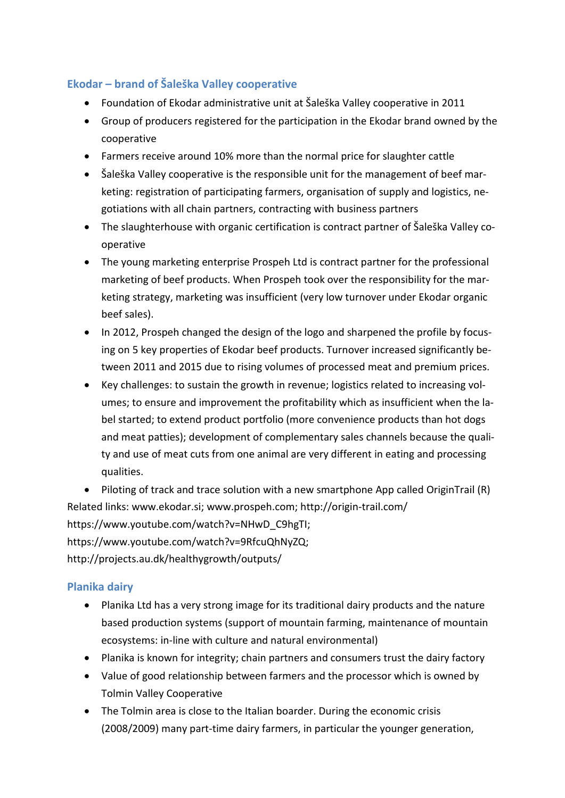## **Ekodar – brand of Šaleška Valley cooperative**

- Foundation of Ekodar administrative unit at Šaleška Valley cooperative in 2011
- Group of producers registered for the participation in the Ekodar brand owned by the cooperative
- Farmers receive around 10% more than the normal price for slaughter cattle
- Šaleška Valley cooperative is the responsible unit for the management of beef marketing: registration of participating farmers, organisation of supply and logistics, negotiations with all chain partners, contracting with business partners
- The slaughterhouse with organic certification is contract partner of Šaleška Valley cooperative
- The young marketing enterprise Prospeh Ltd is contract partner for the professional marketing of beef products. When Prospeh took over the responsibility for the marketing strategy, marketing was insufficient (very low turnover under Ekodar organic beef sales).
- In 2012, Prospeh changed the design of the logo and sharpened the profile by focusing on 5 key properties of Ekodar beef products. Turnover increased significantly between 2011 and 2015 due to rising volumes of processed meat and premium prices.
- Key challenges: to sustain the growth in revenue; logistics related to increasing volumes; to ensure and improvement the profitability which as insufficient when the label started; to extend product portfolio (more convenience products than hot dogs and meat patties); development of complementary sales channels because the quality and use of meat cuts from one animal are very different in eating and processing qualities.

• Piloting of track and trace solution with a new smartphone App called OriginTrail (R) Related links: www.ekodar.si; www.prospeh.com; http://origin-trail.com/ https://www.youtube.com/watch?v=NHwD\_C9hgTI; https://www.youtube.com/watch?v=9RfcuQhNyZQ; http://projects.au.dk/healthygrowth/outputs/

## **Planika dairy**

- Planika Ltd has a very strong image for its traditional dairy products and the nature based production systems (support of mountain farming, maintenance of mountain ecosystems: in-line with culture and natural environmental)
- Planika is known for integrity; chain partners and consumers trust the dairy factory
- Value of good relationship between farmers and the processor which is owned by Tolmin Valley Cooperative
- The Tolmin area is close to the Italian boarder. During the economic crisis (2008/2009) many part-time dairy farmers, in particular the younger generation,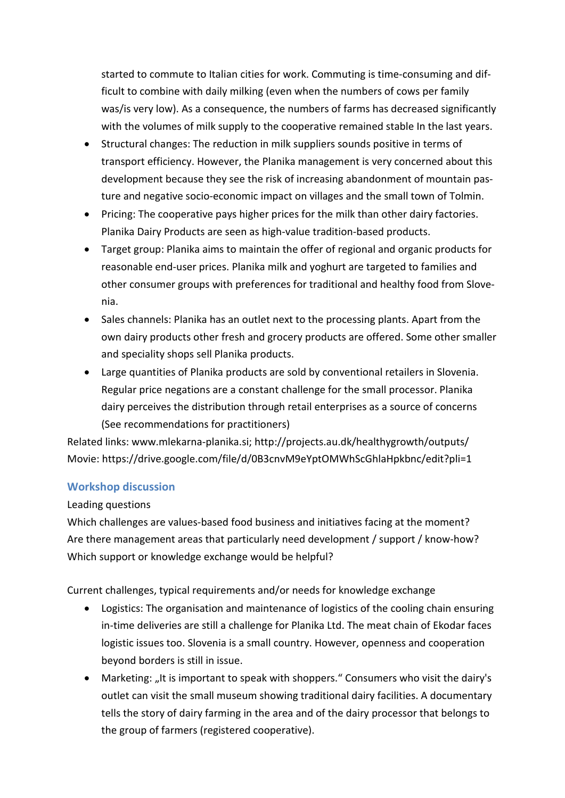started to commute to Italian cities for work. Commuting is time-consuming and difficult to combine with daily milking (even when the numbers of cows per family was/is very low). As a consequence, the numbers of farms has decreased significantly with the volumes of milk supply to the cooperative remained stable In the last years.

- Structural changes: The reduction in milk suppliers sounds positive in terms of transport efficiency. However, the Planika management is very concerned about this development because they see the risk of increasing abandonment of mountain pasture and negative socio-economic impact on villages and the small town of Tolmin.
- Pricing: The cooperative pays higher prices for the milk than other dairy factories. Planika Dairy Products are seen as high-value tradition-based products.
- Target group: Planika aims to maintain the offer of regional and organic products for reasonable end-user prices. Planika milk and yoghurt are targeted to families and other consumer groups with preferences for traditional and healthy food from Slovenia.
- Sales channels: Planika has an outlet next to the processing plants. Apart from the own dairy products other fresh and grocery products are offered. Some other smaller and speciality shops sell Planika products.
- Large quantities of Planika products are sold by conventional retailers in Slovenia. Regular price negations are a constant challenge for the small processor. Planika dairy perceives the distribution through retail enterprises as a source of concerns (See recommendations for practitioners)

Related links: www.mlekarna-planika.si; http://projects.au.dk/healthygrowth/outputs/ Movie: https://drive.google.com/file/d/0B3cnvM9eYptOMWhScGhlaHpkbnc/edit?pli=1

### **Workshop discussion**

#### Leading questions

Which challenges are values-based food business and initiatives facing at the moment? Are there management areas that particularly need development / support / know-how? Which support or knowledge exchange would be helpful?

Current challenges, typical requirements and/or needs for knowledge exchange

- Logistics: The organisation and maintenance of logistics of the cooling chain ensuring in-time deliveries are still a challenge for Planika Ltd. The meat chain of Ekodar faces logistic issues too. Slovenia is a small country. However, openness and cooperation beyond borders is still in issue.
- Marketing: "It is important to speak with shoppers." Consumers who visit the dairy's outlet can visit the small museum showing traditional dairy facilities. A documentary tells the story of dairy farming in the area and of the dairy processor that belongs to the group of farmers (registered cooperative).